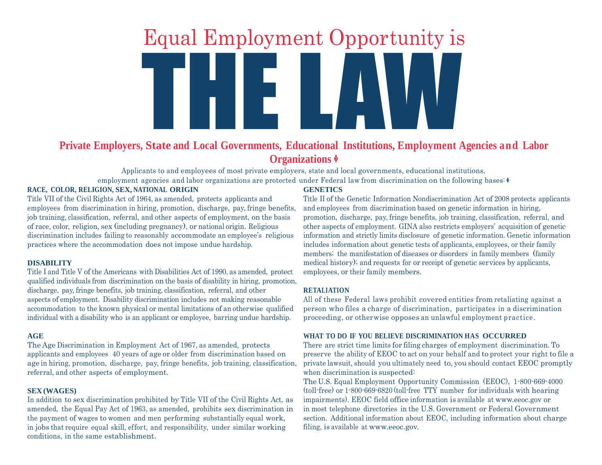# Equal Emproyment Oppositently 15 Equal Employment Opportunity is

# **Private Employers, State and Local Governments, Educational Institutions, Employment Agencies and Labor Organizations** �

Applicants to and employees of most private employers, state and local governments, educational institutions, employment agencies and labor organizations are protected under Federal law from discrimination on the following bases: �

# **RACE, COLOR, RELIGION, SEX, NATIONAL ORIGIN**

Title VII of the Civil Rights Act of 1964, as amended, protects applicants and employees from discrimination in hiring, promotion, discharge, pay, fringe benefits, job training, classification, referral, and other aspects of employment, on the basis of race, color, religion, sex (including pregnancy), or national origin. Religious discrimination includes failing to reasonably accommodate an employee's religious practices where the accommodation does not impose undue hardship.

# **DISABILITY**

Title I and Title V of the Americans with Disabilities Act of 1990, as amended, protect qualified individuals from discrimination on the basis of disability in hiring, promotion, discharge, pay, fringe benefits, job training, classification, referral, and other aspects of employment. Disability discrimination includes not making reasonable accommodation to the known physical or mental limitations of an otherwise qualified individual with a disability who is an applicant or employee, barring undue hardship.

# **AGE**

The Age Discrimination in Employment Act of 1967, as amended, protects applicants and employees 40 years of age or older from discrimination based on age in hiring, promotion, discharge, pay, fringe benefits, job training, classification, referral, and other aspects of employment.

# **SEX (WAGES)**

In addition to sex discrimination prohibited by Title VII of the Civil Rights Act, as amended, the Equal Pay Act of 1963, as amended, prohibits sex discrimination in the payment of wages to women and men performing substantially equal work, in jobs that require equal skill, effort, and responsibility, under similar working conditions, in the same establishment.

# **GENETICS**

Title II of the Genetic Information Nondiscrimination Act of 2008 protects applicants and employees from discrimination based on genetic information in hiring, promotion, discharge, pay, fringe benefits, job training, classification, referral, and other aspects of employment. GINA also restricts employers' acquisition of genetic information and strictly limits disclosure of genetic information. Genetic information includes information about genetic tests of applicants, employees, or their family members; the manifestation of diseases or disorders in family members (family medical history); and requests for or receipt of genetic services by applicants, employees, or their family members.

# **RETALIATION**

All of these Federal laws prohibit covered entities from retaliating against a person who files a charge of discrimination, participates in a discrimination proceeding, or otherwise opposes an unlawful employment practice.

# **WHAT TO DO IF YOU BELIEVE DISCRIMINATION HAS OCCURRED**

There are strict time limits for filing charges of employment discrimination. To preserve the ability of EEOC to act on your behalf and to protect your right to file a private lawsuit, should you ultimately need to, you should contact EEOC promptly when discrimination is suspected:

The U.S. Equal Employment Opportunity Commission (EEOC), 1-800-669-4000 (toll-free) or 1-800-669-6820 (toll-free TTY number for individuals with hearing impairments). EEOC field office information is available at [www.eeoc.gov](http://www.eeoc.gov/) or in most telephone directories in the U.S. Government or Federal Government section. Additional information about EEOC, including information about charge filing, is available at [www.eeoc.gov](http://www.eeoc.gov/).